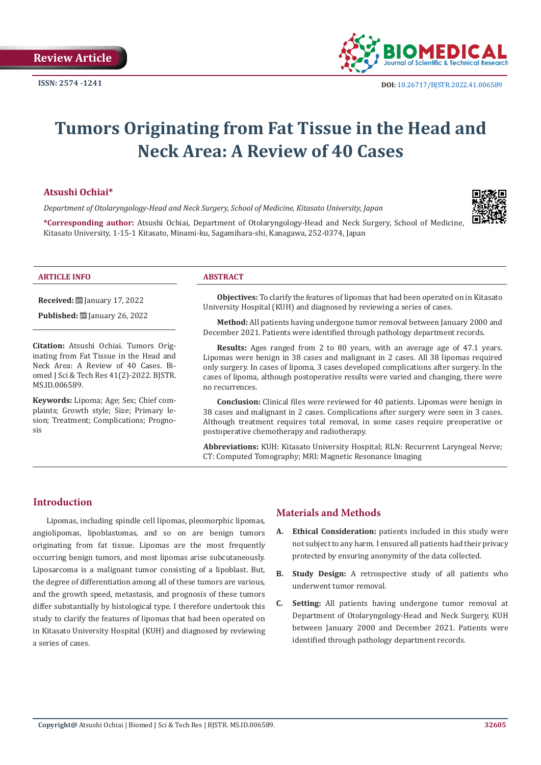

# **Tumors Originating from Fat Tissue in the Head and Neck Area: A Review of 40 Cases**

#### **Atsushi Ochiai\***

*Department of Otolaryngology-Head and Neck Surgery, School of Medicine, Kitasato University, Japan*



**\*Corresponding author:** Atsushi Ochiai, Department of Otolaryngology-Head and Neck Surgery, School of Medicine, Kitasato University, 1-15-1 Kitasato, Minami-ku, Sagamihara-shi, Kanagawa, 252-0374, Japan

#### **ARTICLE INFO ABSTRACT**

**Received:** [201] January 17, 2022

**Published: [**] January 26, 2022

**Citation:** Atsushi Ochiai. Tumors Originating from Fat Tissue in the Head and Neck Area: A Review of 40 Cases. Biomed J Sci & Tech Res 41(2)-2022. BJSTR. MS.ID.006589.

**Keywords:** Lipoma; Age; Sex; Chief complaints; Growth style; Size; Primary lesion; Treatment; Complications; Prognosis

**Objectives:** To clarify the features of lipomas that had been operated on in Kitasato University Hospital (KUH) and diagnosed by reviewing a series of cases.

**Method:** All patients having undergone tumor removal between January 2000 and December 2021. Patients were identified through pathology department records.

**Results:** Ages ranged from 2 to 80 years, with an average age of 47.1 years. Lipomas were benign in 38 cases and malignant in 2 cases. All 38 lipomas required only surgery. In cases of lipoma, 3 cases developed complications after surgery. In the cases of lipoma, although postoperative results were varied and changing, there were no recurrences.

**Conclusion:** Clinical files were reviewed for 40 patients. Lipomas were benign in 38 cases and malignant in 2 cases. Complications after surgery were seen in 3 cases. Although treatment requires total removal, in some cases require preoperative or postoperative chemotherapy and radiotherapy.

**Abbreviations:** KUH: Kitasato University Hospital; RLN: Recurrent Laryngeal Nerve; CT: Computed Tomography; MRI: Magnetic Resonance Imaging

#### **Introduction**

Lipomas, including spindle cell lipomas, pleomorphic lipomas, angiolipomas, lipoblastomas, and so on are benign tumors originating from fat tissue. Lipomas are the most frequently occurring benign tumors, and most lipomas arise subcutaneously. Liposarcoma is a malignant tumor consisting of a lipoblast. But, the degree of differentiation among all of these tumors are various, and the growth speed, metastasis, and prognosis of these tumors differ substantially by histological type. I therefore undertook this study to clarify the features of lipomas that had been operated on in Kitasato University Hospital (KUH) and diagnosed by reviewing a series of cases.

# **Materials and Methods**

- **A. Ethical Consideration:** patients included in this study were not subject to any harm. I ensured all patients had their privacy protected by ensuring anonymity of the data collected.
- **B. Study Design:** A retrospective study of all patients who underwent tumor removal.
- **C. Setting:** All patients having undergone tumor removal at Department of Otolaryngology-Head and Neck Surgery, KUH between January 2000 and December 2021. Patients were identified through pathology department records.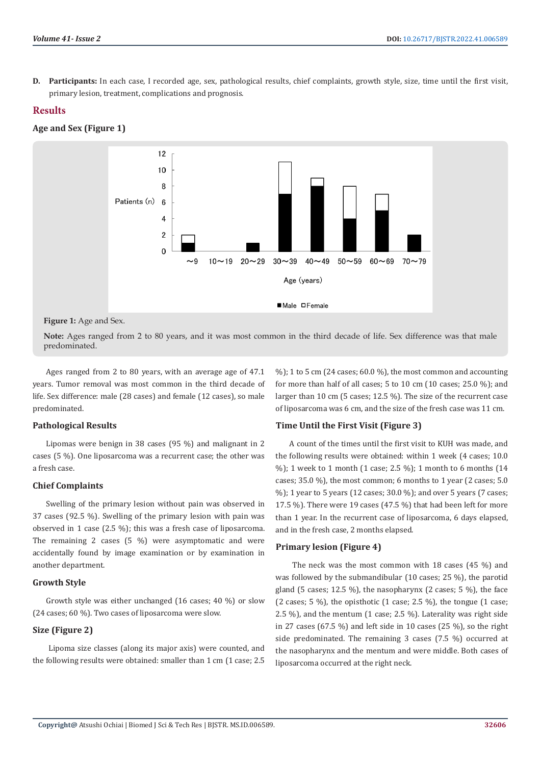**D. Participants:** In each case, I recorded age, sex, pathological results, chief complaints, growth style, size, time until the first visit, primary lesion, treatment, complications and prognosis.

### **Results**

**Age and Sex (Figure 1)**



**Figure 1:** Age and Sex.

**Note:** Ages ranged from 2 to 80 years, and it was most common in the third decade of life. Sex difference was that male predominated.

Ages ranged from 2 to 80 years, with an average age of 47.1 years. Tumor removal was most common in the third decade of life. Sex difference: male (28 cases) and female (12 cases), so male predominated.

#### **Pathological Results**

Lipomas were benign in 38 cases (95 %) and malignant in 2 cases (5 %). One liposarcoma was a recurrent case; the other was a fresh case.

#### **Chief Complaints**

Swelling of the primary lesion without pain was observed in 37 cases (92.5 %). Swelling of the primary lesion with pain was observed in 1 case (2.5 %); this was a fresh case of liposarcoma. The remaining 2 cases (5 %) were asymptomatic and were accidentally found by image examination or by examination in another department.

#### **Growth Style**

Growth style was either unchanged (16 cases; 40 %) or slow (24 cases; 60 %). Two cases of liposarcoma were slow.

#### **Size (Figure 2)**

 Lipoma size classes (along its major axis) were counted, and the following results were obtained: smaller than 1 cm (1 case; 2.5

%); 1 to 5 cm (24 cases; 60.0 %), the most common and accounting for more than half of all cases; 5 to 10 cm (10 cases; 25.0 %); and larger than 10 cm (5 cases; 12.5 %). The size of the recurrent case of liposarcoma was 6 cm, and the size of the fresh case was 11 cm.

# **Time Until the First Visit (Figure 3)**

A count of the times until the first visit to KUH was made, and the following results were obtained: within 1 week (4 cases; 10.0 %); 1 week to 1 month (1 case; 2.5 %); 1 month to 6 months (14 cases; 35.0 %), the most common; 6 months to 1 year (2 cases; 5.0 %); 1 year to 5 years (12 cases; 30.0 %); and over 5 years (7 cases; 17.5 %). There were 19 cases (47.5 %) that had been left for more than 1 year. In the recurrent case of liposarcoma, 6 days elapsed, and in the fresh case, 2 months elapsed.

# **Primary lesion (Figure 4)**

 The neck was the most common with 18 cases (45 %) and was followed by the submandibular (10 cases; 25 %), the parotid gland (5 cases; 12.5 %), the nasopharynx (2 cases; 5 %), the face (2 cases; 5 %), the opisthotic (1 case; 2.5 %), the tongue (1 case; 2.5 %), and the mentum (1 case; 2.5 %). Laterality was right side in 27 cases (67.5 %) and left side in 10 cases (25 %), so the right side predominated. The remaining 3 cases (7.5 %) occurred at the nasopharynx and the mentum and were middle. Both cases of liposarcoma occurred at the right neck.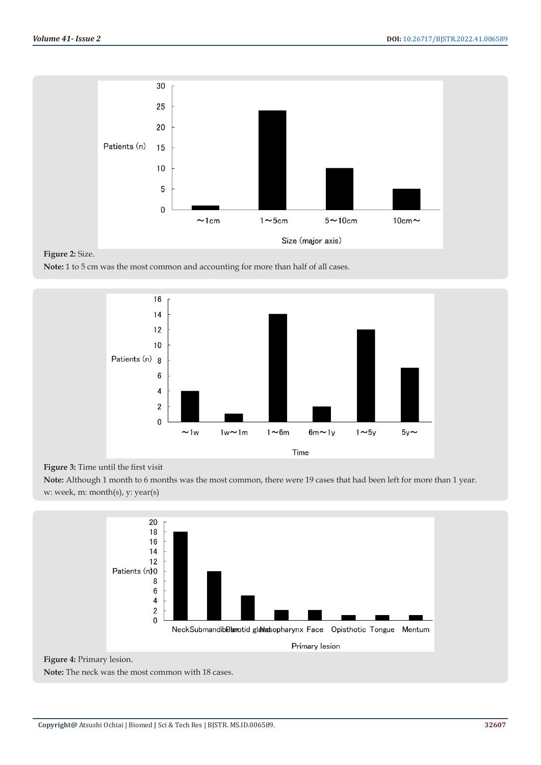

# **Figure 2:** Size.

**Note:** 1 to 5 cm was the most common and accounting for more than half of all cases.



#### **Figure 3:** Time until the first visit

**Note:** Although 1 month to 6 months was the most common, there were 19 cases that had been left for more than 1 year. w: week, m: month(s), y: year(s)



# **Figure 4:** Primary lesion.

**Note:** The neck was the most common with 18 cases.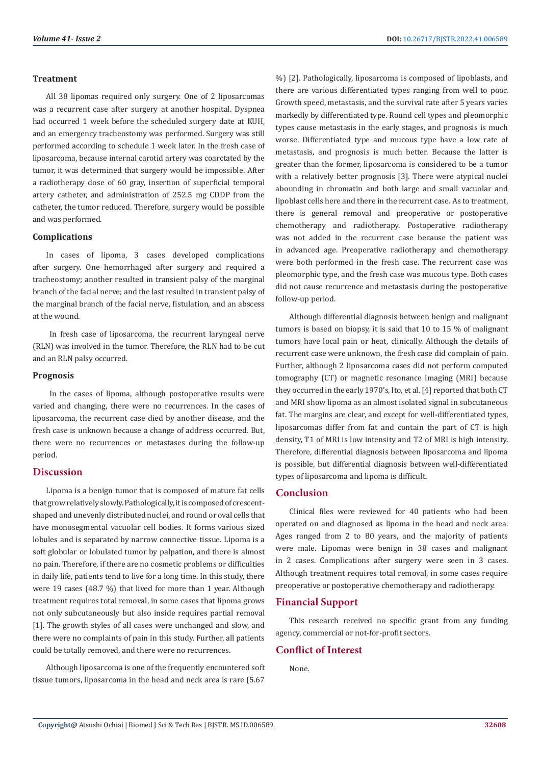#### **Treatment**

All 38 lipomas required only surgery. One of 2 liposarcomas was a recurrent case after surgery at another hospital. Dyspnea had occurred 1 week before the scheduled surgery date at KUH, and an emergency tracheostomy was performed. Surgery was still performed according to schedule 1 week later. In the fresh case of liposarcoma, because internal carotid artery was coarctated by the tumor, it was determined that surgery would be impossible. After a radiotherapy dose of 60 gray, insertion of superficial temporal artery catheter, and administration of 252.5 mg CDDP from the catheter, the tumor reduced. Therefore, surgery would be possible and was performed.

#### **Complications**

In cases of lipoma, 3 cases developed complications after surgery. One hemorrhaged after surgery and required a tracheostomy; another resulted in transient palsy of the marginal branch of the facial nerve; and the last resulted in transient palsy of the marginal branch of the facial nerve, fistulation, and an abscess at the wound.

 In fresh case of liposarcoma, the recurrent laryngeal nerve (RLN) was involved in the tumor. Therefore, the RLN had to be cut and an RLN palsy occurred.

#### **Prognosis**

 In the cases of lipoma, although postoperative results were varied and changing, there were no recurrences. In the cases of liposarcoma, the recurrent case died by another disease, and the fresh case is unknown because a change of address occurred. But, there were no recurrences or metastases during the follow-up period.

#### **Discussion**

Lipoma is a benign tumor that is composed of mature fat cells that grow relatively slowly. Pathologically, it is composed of crescentshaped and unevenly distributed nuclei, and round or oval cells that have monosegmental vacuolar cell bodies. It forms various sized lobules and is separated by narrow connective tissue. Lipoma is a soft globular or lobulated tumor by palpation, and there is almost no pain. Therefore, if there are no cosmetic problems or difficulties in daily life, patients tend to live for a long time. In this study, there were 19 cases (48.7 %) that lived for more than 1 year. Although treatment requires total removal, in some cases that lipoma grows not only subcutaneously but also inside requires partial removal [1]. The growth styles of all cases were unchanged and slow, and there were no complaints of pain in this study. Further, all patients could be totally removed, and there were no recurrences.

Although liposarcoma is one of the frequently encountered soft tissue tumors, liposarcoma in the head and neck area is rare (5.67

%) [2]. Pathologically, liposarcoma is composed of lipoblasts, and there are various differentiated types ranging from well to poor. Growth speed, metastasis, and the survival rate after 5 years varies markedly by differentiated type. Round cell types and pleomorphic types cause metastasis in the early stages, and prognosis is much worse. Differentiated type and mucous type have a low rate of metastasis, and prognosis is much better. Because the latter is greater than the former, liposarcoma is considered to be a tumor with a relatively better prognosis [3]. There were atypical nuclei abounding in chromatin and both large and small vacuolar and lipoblast cells here and there in the recurrent case. As to treatment, there is general removal and preoperative or postoperative chemotherapy and radiotherapy. Postoperative radiotherapy was not added in the recurrent case because the patient was in advanced age. Preoperative radiotherapy and chemotherapy were both performed in the fresh case. The recurrent case was pleomorphic type, and the fresh case was mucous type. Both cases did not cause recurrence and metastasis during the postoperative follow-up period.

Although differential diagnosis between benign and malignant tumors is based on biopsy, it is said that 10 to 15 % of malignant tumors have local pain or heat, clinically. Although the details of recurrent case were unknown, the fresh case did complain of pain. Further, although 2 liposarcoma cases did not perform computed tomography (CT) or magnetic resonance imaging (MRI) because they occurred in the early 1970's, Ito, et al. [4] reported that both CT and MRI show lipoma as an almost isolated signal in subcutaneous fat. The margins are clear, and except for well-differentiated types, liposarcomas differ from fat and contain the part of CT is high density, T1 of MRI is low intensity and T2 of MRI is high intensity. Therefore, differential diagnosis between liposarcoma and lipoma is possible, but differential diagnosis between well-differentiated types of liposarcoma and lipoma is difficult.

### **Conclusion**

Clinical files were reviewed for 40 patients who had been operated on and diagnosed as lipoma in the head and neck area. Ages ranged from 2 to 80 years, and the majority of patients were male. Lipomas were benign in 38 cases and malignant in 2 cases. Complications after surgery were seen in 3 cases. Although treatment requires total removal, in some cases require preoperative or postoperative chemotherapy and radiotherapy.

#### **Financial Support**

This research received no specific grant from any funding agency, commercial or not-for-profit sectors.

#### **Conflict of Interest**

None.